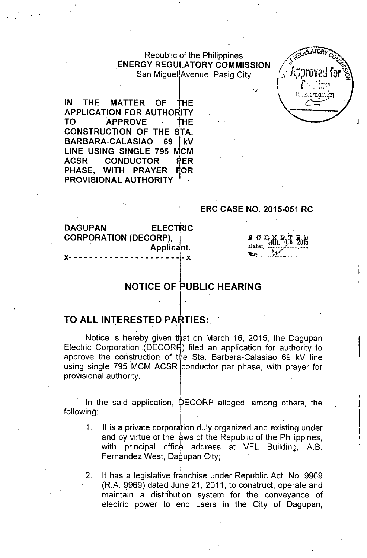# Republic of the Philippines ENERGY REGULATORY COMMISSION

San Miguel Avenue, Pasig City

IN THE MATTER OF THE APPLICATION FOR AUTHORITY TO APPROVE THE CONSTRUCTION OF THE STA. BARBARA-CALASIAO 69 I kV LINE USING SINGLE 795 MCM ACSR CONDUCTOR PER PHASE, WITH PRAYER FOR PROVISIONAL AUTHORITY

#### ERC CASE NO. 2015-051 RC

**ELECTRIC** DAGUPAN CORPORATION (DECORP), . Applicant. I x- - - - - - - - - - - - - - - - - - - - - - - x

# $\frac{1}{\omega}$  or  $\frac{1}{\omega}$  $\frac{12}{3}$   $\frac{11}{3}$   $\frac{11}{3}$

: ..CrC.G. . ..ch

### NOTICE OF PUBLIC HEARING

### TO ALL INTERESTED PARTIES:

Notice is hereby given that on March 16, 2015, the Dagupan Electric Corporation (DECOR9) filed an application for authority to approve the construction of the Sta. Barbara-Calasiao 69 kV line using single 795 MCM ACSR conductor per phase, with prayer for provisional authority.

, .<br>, .  $\blacksquare$  In the said application, DECORP alleged, among others, the  $\blacksquare$  following:

- 1. It is a private corporation duly organized and existing under and by virtue of the laws of the Republic of the Philippines. with principal office address at VFL Building, A.B. Fernandez West, Dagupan City;
- 2. It has a legislative franchise under Republic Act. No. 9969  $(R.A. 9969)$  dated June 21, 2011, to construct, operate and maintain a distribution system for the conveyance of electric power to end users in the City of Dagupan,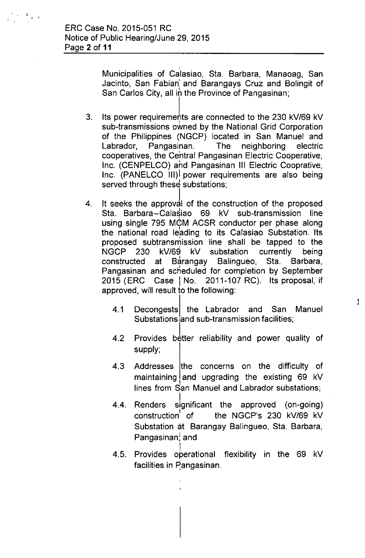• Municipalities of Calasiao, Sta. Barbara, Manaoag, San Jacinto, San Fabian: and Barangays Cruz and Bolingit of San Carlos City, all in the Province of Pangasinan;

- 3. Its power requirements are connected to the 230 kV/69 kV sub-transmissions owned by the National Grid Corporation of the Philippines (NGCP) located in San Manuel and Labrador, Pangasinan. The neighboring electric cooperatives, the Central Pangasinan Electric Cooperative, Inc. (CENPELCO) and Pangasinan III Electric Cooprative, Inc. (PANELCO III) power requirements are also being served through these substations;
- 4. It seeks the approval of the construction of the proposed Sta. Barbara-Calasiao 69 kV sub-transmission line using single 795 MCM ACSR conductor per phase along the national road leading to its Calasiao Substation. Its proposed subtransmission line shall be tapped to the NGCP 230 kV/69 kV substation currently being constructed at Barangay Balingueo, Sta. Barbara, Pangasinan and scheduled for completion by September 2015 (ERC Case I No. 2011-107 RC). Its proposal, if approved, will result to the following:
	- 4.1 Decongests the Labrador and San Manuel Substations and sub-transmission facilities;

Ł

- 4.2 Provides better reliability and power quality of supply;
- 4.3 Addresses the concerns on the difficulty of maintaining and upgrading the existing 69 kV lines from San Manuel and Labrador substations;
- 4.4. I Renders significant the approved (on-going) construction' of the NGCP's 230 kV/69 kV Substation at Barangay Balingueo, Sta. Barbara, Pangasinan; and
- 4.5. I Provides operational flexibility in the 69 kV facilities in Pangasinan.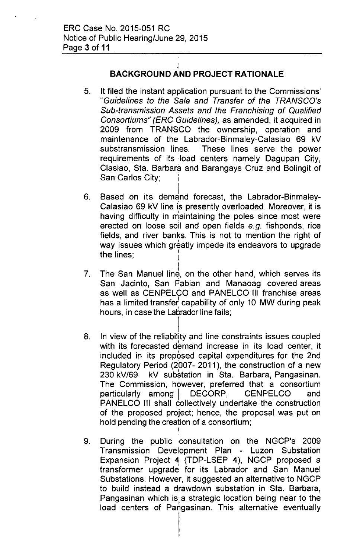# BACKGROUND AND **PROJECT RATIONALE**

I

- 5. It filed the instant application pursuant to the Commissions' *"Guidelines to the Sale and Transfer of the TRANSCO's Sub-transmission Assets and the Franchising of Qualified Consortiums" (ERC Guidelines),* as amended, it acquired in 2009 from TRANSCO the ownership, operation and maintenance of the Labrador-Binmaley-Calasiao 69 kV substransmission lines. These lines serve the power requirements of its load centers namely Dagupan City, Clasiao, Sta. Barbara and Barangays Cruz and Bolingit of San Carlos City;
- 6. Based on its demand forecast, the Labrador-Binmaley-Calasiao 69 kV line is presently overloaded. Moreover, it is having difficulty in maintaining the poles since most were erected on loose soil and open fields *e.g.* fishponds, rice fields, and river banks. This is not to mention the right of way issues which greatly impede its endeavors to upgrade the lines;
- 7. The San Manuel line, on the other hand, which serves its San Jacinto, San Fabian and Manaoag covered areas as well as CENPELCO and PANELCO III franchise areas has a limited transfer capability of only 10 MW during peak hours, in case the Labrador line fails;
- 8. I In view of the reliability and line constraints issues coupled with its forecasted demand increase in its load center, it included in its proposed capital expenditures for the 2nd Regulatory Period (2007- 2011), the construction of a new 230 kV/69 kV substation in Sta. Barbara, Pangasinan. The Commission, however, preferred that a consortium particularly among | DECORP, CENPELCO and PANELCO III shall collectively undertake the construction of the proposed project; hence, the proposal was put on hold pending the creation of a consortium; I
- 9. During the public consultation on the NGCP's 2009 Transmission Development Plan - Luzon Substation Expansion Project 4, (TDP-LSEP 4), NGCP proposed a transformer upgrade for its Labrador and San Manuel Substations. However, it suggested an alternative to NGCP to build instead a drawdown substation in Sta. Barbara, Pangasinan which is a strategic location being near to the load centers of Pangasinan. This alternative eventually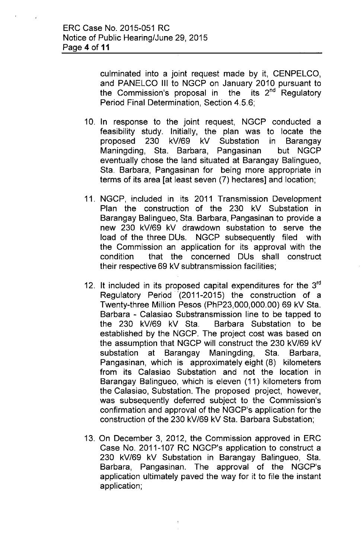culminated into a joint request made by it, CENPELCO, and PANELCO III to NGCP on January 2010 pursuant to the Commission's proposal in the  $its$   $2<sup>nd</sup>$  Regulatory Period Final Determination, Section 4.5.6;

- 10. In response to the joint request, NGCP conducted a feasibility study. Initially, the plan was to locate the proposed 230 kV/69 kV Substation in Barangay Maningding, Sta. Barbara, Pangasinan but NGCP eventually chose the land situated at Barangay Balingueo, Sta. Barbara, Pangasinan for being more appropriate in terms of its area [at least seven (7) hectares] and location;
- 11. NGCP, included in its 2011 Transmission Development Plan the construction of the 230 kV Substation in Barangay Balingueo, Sta. Barbara, Pangasinan to provide a new 230 kV/69 kV drawdown substation to serve the load of the three DUs. NGCP subsequently filed with the Commission an application for its approval with the condition that the concerned DUs shall construct their respective 69 kV subtransmission facilities;
- 12. It included in its proposed capital expenditures for the 3<sup>rd</sup> Regulatory Period '(2011-2015) the construction of a Twenty-three Million Pesos (PhP23,000,000.00) 69 kV Sta. Barbara - Calasiao Substransmission line to be tapped to the 230 kV/69 kV Sta. Barbara Substation to be established by the NGCP. The project cost was based on the assumption that NGCP will construct the 230 kV/69 kV substation at Barangay Maningding, Sta. Barbara, Pangasinan, which is approximately eight (8) kilometers from its Calasiao Substation and not the location in Barangay Balingueo, which is eleven (11) kilometers from the Calasiao, Substation. The proposed project, however, was subsequently deferred subject to the Commission's confirmation and approval of the NGCP's application for the construction of the 230 kV/69 kV Sta. Barbara Substation;
- 13. On December 3, 2012, the Commission approved in ERC Case No. 2011-107 RC NGCP's application to construct a 230 kV/69 kV Substation in Barangay Balingueo, Sta. Barbara, Pangasinan. The approval of the NGCP's application ultimately paved the way for it to file the instant application;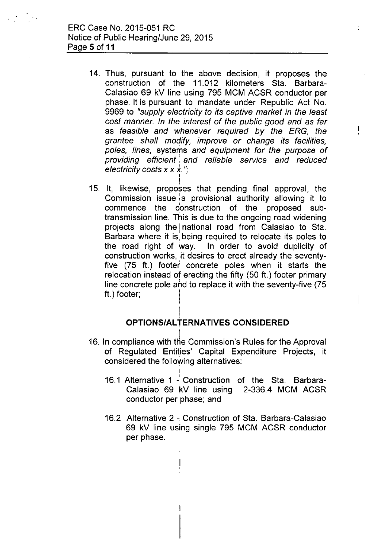14. Thus, pursuant to the above decision, it proposes the construction of the 11.012 kilometers Sta. Barbara-Calasiao 69 kV line using 795 MCM ACSR conductor per phase. It is pursuant to mandate under Republic Act No. 9969 to *"supply electricity to its captive market in the least cost manner. In the interest* of *the public good and* as *far* as *feasible and whenever required by the ERG, the grantee shall modify, improve or change its facilities, poles, lines,* systems *and equipment for the purpose* of *providing efficient: and reliable service and reduced electricity costs* x x x. "; I

Ţ

 $\overline{1}$ 

I 15. It, likewise, proposes that pending final approval, the Commission issue  $a$  provisional authority allowing it to commence the construction of the proposed subtransmission line. This is due to the ongoing road widening projects along the national road from Calasiao to Sta. Barbara where it is being required to relocate its poles to the road right of way. In order to avoid duplicity of construction works, it desires to erect already the seventyfive (75 ft.) footer concrete poles when it starts the relocation instead of erecting the fifty (50 ft.) footer primary line concrete pole and to replace it with the seventy-five (75 ft.) footer:

### **OPTIONS/AL TERNATIVES CONSIDERED**

I ,<br>1

I

- 16. In compliance with the Commission's Rules for the Approval of Regulated Entities' Capital Expenditure Projects, it considered the following alternatives:
	- 16.1 Alternative 1 -' Construction of the Sta. Barbara-Calasiao 69 kV line using 2-336.4 MCM ACSR conductor per phase; and
	- 16.2 Alternative 2 Construction of Sta. Barbara-Calasiao 69 kV line using single 795 MCM ACSR conductor per phase.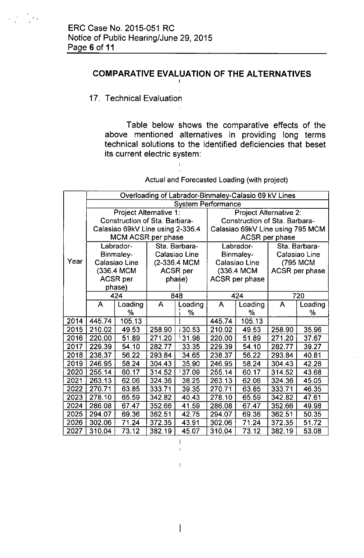#### **COMPARATIVE EVALUATION OF THE ALTERNATIVES** I

#### 17. Technical Evaluation

Table below shows the comparative effects of the above mentioned alternatives in providing long terms technical solutions to the identified deficiencies that beset its current electric system:

Actual and Forecasted Loading (with project)

|      | Overloading of Labrador-Binmaley-Calasio 69 kV Lines |         |               |                |                                  |            |               |                |
|------|------------------------------------------------------|---------|---------------|----------------|----------------------------------|------------|---------------|----------------|
|      | <b>System Performance</b>                            |         |               |                |                                  |            |               |                |
|      | Project Alternative 1:                               |         |               |                | <b>Project Alternative 2:</b>    |            |               |                |
|      | Construction of Sta. Barbara-                        |         |               |                | Construction of Sta. Barbara-    |            |               |                |
|      | Calasiao 69kV Line using 2-336.4                     |         |               |                | Calasiao 69kV Line using 795 MCM |            |               |                |
|      | MCM ACSR per phase                                   |         |               | ACSR per phase |                                  |            |               |                |
|      | Labrador-                                            |         | Sta. Barbara- |                | Labrador-                        |            | Sta. Barbara- |                |
|      | Binmaley-                                            |         | Calasiao Line |                | Binmaley-                        |            | Calasiao Line |                |
| Year | Calasiao Line                                        |         | (2-336.4 MCM  |                | Calasiao Line                    |            |               | (795 MCM       |
|      | (336.4 MCM)                                          |         | ACSR per      |                |                                  | (336.4 MCM |               | ACSR per phase |
|      | <b>ACSR</b> per                                      |         | phase)        |                | ACSR per phase                   |            |               |                |
|      |                                                      | phase)  |               |                |                                  |            |               |                |
|      | 424                                                  |         | 848           |                | 424                              |            | 720           |                |
|      | $\mathsf{A}$                                         | Loading | A             | Loading        | A                                | Loading    | A             | Loading        |
|      |                                                      | %       |               | ℅              |                                  | %          |               | %              |
| 2014 | 445.74                                               | 105.13  |               |                | 445.74                           | 105.13     |               |                |
| 2015 | 210.02                                               | 49.53   | 258.90        | 130.53         | 210.02                           | 49.53      | 258.90        | 35.96          |
| 2016 | 220.00                                               | 51.89   | 271.20        | 131.98         | 220.00                           | 51.89      | 271.20        | 37.67          |
| 2017 | 229.39                                               | 54.10   | 282.77        | 33.35          | 229.39                           | 54.10      | 282.77        | 39.27          |
| 2018 | 238.37                                               | 56.22   | 293.84        | 34.65          | 238.37                           | 56.22      | 293.84        | 40.81          |
| 2019 | 246.95                                               | 58.24   | 304.43        | 35.90          | 246.95                           | 58.24      | 304.43        | 42.28          |
| 2020 | 255.14                                               | 60.17   | 314.52        | 137.09         | 255.14                           | 60.17      | 314.52        | 43.68          |
| 2021 | 263.13                                               | 62.06   | 324.36        | 38.25          | 263.13                           | 62.06      | 324.36        | 45.05          |
| 2022 | 270.71                                               | 63.85   | 333.71        | 39.35          | 270.71                           | 63.85      | 333.71        | 46.35          |
| 2023 | 278.10                                               | 65.59   | 342.82        | 40.43          | 278.10                           | 65.59      | 342.82        | 47.61          |
| 2024 | 286.08                                               | 67.47   | 352.66        | 41.59          | 286.08                           | 67.47      | 352.66        | 49.98          |
| 2025 | 294.07                                               | 69.36   | 362.51        | 42.75          | 294.07                           | 69.36      | 362.51        | 50.35          |
| 2026 | 302.06                                               | 71.24   | 372.35        | 43.91          | 302.06                           | 71.24      | 372.35        | 51.72          |
| 2027 | 310.04                                               | 73.12   | 382.19        | 45.07          | 310.04                           | 73.12      | 382.19        | 53.08          |

 $\mathsf{I}$ 

 $\bar{\rm I}$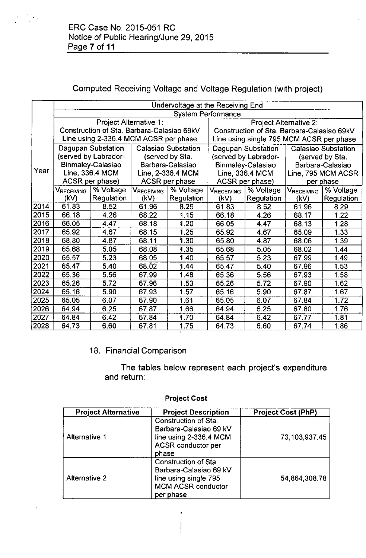# Computed Receiving Voltage and Voltage Regulation (with project)

|      | Undervoltage at the Receiving End          |                                       |                            |            |                                            |            |                            |                    |
|------|--------------------------------------------|---------------------------------------|----------------------------|------------|--------------------------------------------|------------|----------------------------|--------------------|
|      | <b>System Performance</b>                  |                                       |                            |            |                                            |            |                            |                    |
|      | Project Alternative 1:                     |                                       |                            |            | Project Alternative 2:                     |            |                            |                    |
|      | Construction of Sta. Barbara-Calasiao 69kV |                                       |                            |            | Construction of Sta. Barbara-Calasiao 69kV |            |                            |                    |
|      |                                            | Line using 2-336.4 MCM ACSR per phase |                            |            | Line using single 795 MCM ACSR per phase   |            |                            |                    |
|      | Dagupan Substation                         |                                       | <b>Calasiao Substation</b> |            | Dagupan Substation                         |            | <b>Calasiao Substation</b> |                    |
|      |                                            | (served by Labrador-                  | (served by Sta.            |            | (served by Labrador-                       |            | (served by Sta.            |                    |
|      |                                            | Binmaley-Calasiao                     | Barbara-Calasiao           |            | Binmaley-Calasiao                          |            | Barbara-Calasiao           |                    |
| Year | Line, 336.4 MCM                            |                                       | Line, 2-336.4 MCM          |            | Line, 336.4 MCM                            |            |                            | Line, 795 MCM ACSR |
|      | ACSR per phase)                            |                                       | ACSR per phase             |            | ACSR per phase)                            |            | per phase                  |                    |
|      | VRECEIVING                                 | % Voltage                             | VRECEIVING                 | % Voltage  | VRECEIVING                                 | % Voltage  | Vreceiving                 | % Voltage          |
|      | (kV)                                       | Regulation                            | (kV)                       | Regulation | (kV)                                       | Regulation | (kV)                       | Regulation         |
| 2014 | 61.83                                      | 8.52                                  | 61.96                      | 8.29       | 61.83                                      | 8.52       | 61.96                      | 8.29               |
| 2015 | 66.18                                      | 4.26                                  | 68.22                      | 1.15       | 66.18                                      | 4.26       | 68.17                      | 1.22               |
| 2016 | 66.05                                      | 4.47                                  | 68.18                      | 1.20       | 66.05                                      | 4.47       | 68.13                      | 1.28               |
| 2017 | 65.92                                      | 4.67                                  | 68.15                      | 1.25       | 65.92                                      | 4.67       | 65.09                      | 1.33               |
| 2018 | 68.80                                      | 4.87                                  | 68.11                      | 1.30       | 65.80                                      | 4.87       | 68.06                      | 1.39               |
| 2019 | 65.68                                      | 5.05                                  | 68.08                      | 1.35       | 65.68                                      | 5.05       | 68.02                      | 1.44               |
| 2020 | 65.57                                      | 5.23                                  | 68.05                      | 1.40       | 65.57                                      | 5.23       | 67.99                      | 1.49               |
| 2021 | 65.47                                      | 5.40                                  | 68.02                      | 1.44       | 65.47                                      | 5.40       | 67.96                      | 1.53               |
| 2022 | 65.36                                      | 5.56                                  | 67.99                      | 1.48       | 65.36                                      | 5.56       | 67.93                      | 158                |
| 2023 | 65.26                                      | 5.72                                  | 67.96                      | 1.53       | 65.26                                      | 5.72       | 67.90                      | 1.62               |
| 2024 | 65.16                                      | 5.90                                  | 67.93                      | 1.57       | 65.16                                      | 5.90       | 67.87                      | 1.67               |
| 2025 | 65.05                                      | 6.07                                  | 67.90                      | 1.61       | 65.05                                      | 6.07       | 67.84                      | 1.72               |
| 2026 | 64.94                                      | 6.25                                  | 67.87                      | 1.66       | 64.94                                      | 6.25       | 67.80                      | 1.76               |
| 2027 | 64.84                                      | 6.42                                  | 6784                       | 1.70       | 64.84                                      | 6.42       | 67.77                      | 1.81               |
| 2028 | 64.73                                      | 6.60                                  | 67.81                      | 1.75       | 64.73                                      | 6.60       | 67.74                      | 1.86               |

# 18. Financial Comparison

The tables below represent each project's expenditure and return:

| <b>Project Alternative</b> | <b>Project Description</b>                                                                                        | <b>Project Cost (PhP)</b> |
|----------------------------|-------------------------------------------------------------------------------------------------------------------|---------------------------|
| Alternative 1              | Construction of Sta.<br>Barbara-Calasiao 69 kV<br>line using 2-336.4 MCM<br><b>ACSR</b> conductor per<br>phase    | 73,103,937.45             |
| <b>Alternative 2</b>       | Construction of Sta.<br>Barbara-Calasiao 69 kV<br>line using single 795<br><b>MCM ACSR conductor</b><br>per phase | 54.864,308.78             |

 $\mathbf{r}$ 

### Project Cost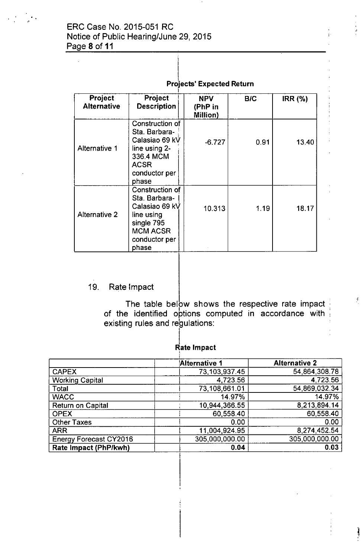### ERC Case No. 2015-051 RC Notice of Public Hearing/June 29, 2015 Page 8 of **11**

|  | <b>Projects' Expected Return</b> |
|--|----------------------------------|
|--|----------------------------------|

| Project<br><b>Alternative</b> | <b>Project</b><br><b>Description</b>                                                                                        | <b>NPV</b><br>(PhP in<br><b>Million</b> ) | B/C  | <b>IRR (%)</b> |
|-------------------------------|-----------------------------------------------------------------------------------------------------------------------------|-------------------------------------------|------|----------------|
| <b>Alternative 1</b>          | Construction of<br>Sta. Barbara-<br>Calasiao 69 kV<br>line using 2-<br>336.4 MCM<br><b>ACSR</b><br>conductor per<br>phase   | $-6.727$                                  | 0.91 | 13.40          |
| <b>Alternative 2</b>          | Construction of<br>Sta. Barbara-<br>Calasiao 69 kV<br>line using<br>single 795<br><b>MCM ACSR</b><br>conductor per<br>phase | 10.313                                    | 1.19 | 18.17          |

## 19. Rate Impact

The table below shows the respective rate impact of the identified options computed in accordance with existing rules and regulations:

|                               | <b>Alternative 1</b> | <b>Alternative 2</b> |
|-------------------------------|----------------------|----------------------|
|                               |                      |                      |
| <b>CAPEX</b>                  | 73,103,937.45        | 54,864,308.78        |
| <b>Working Capital</b>        | 4,723.56             | 4,723.56             |
| Total                         | 73,108,661.01        | 54,869,032.34        |
| <b>WACC</b>                   | 14.97%               | 14.97%               |
| <b>Return on Capital</b>      | 10,944,366.55        | 8,213,894.14         |
| <b>OPEX</b>                   | 60,558.40            | 60,558.40            |
| <b>Other Taxes</b>            | 0.00                 | 0.00                 |
| <b>ARR</b>                    | 11,004,924.95        | 8,274,452.54         |
| <b>Energy Forecast CY2016</b> | 305,000,000.00       | 305,000,000.00       |
| Rate Impact (PhP/kwh)         | 0.04                 | 0.03                 |

I Rate Impac 悲

jt.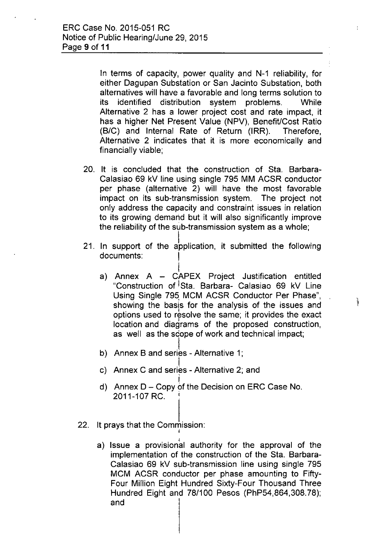In terms of capacity, power quality and N-1 reliability, for either Dagupan Substation or San Jacinto Substation, both alternatives will have a favorable and long terms solution to its identified distribution system problems. While Alternative 2 has a lower project cost and rate impact, it has a higher Net Present Value (NPV), Benefit/Cost Ratio (B/C) and Internal Rate of Return (IRR). Therefore, Alternative 2 indicates that it is more economically and financially viable;

÷

- 20. It is concluded that the construction of Sta. Barbara-Calasiao 69 kV line using single 795 MM ACSR conductor per phase (alternative 2) will have the most favorable impact on its sub-transmission system. The project not only address the capacity and constraint issues in relation to its growing demahd but it will also significantly improve the reliability of the sub-transmission system as a whole;
- 21. In support of the application, it submitted the following documents: I
	- $\mathsf{l}_\cdot$ a) Annex A – CAPEX Project Justification entitlec "Construction of Sta. Barbara- Calasiao 69 kV Line Using Single 795 MCM ACSR Conductor Per Phase",  $\frac{1}{2}$ showing the basis for the analysis of the issues and options used to resolve the same; it provides the exact location and diagrams of the proposed construction, as well as the scope of work and technical impact;
	- b) Annex B and series Alternative 1;
	- c) Annex C and series Alternative 2; and
	- i d) Annex D - Copy of the Decision on ERC Case No. 2011-107 RC. I
- 22. It prays that the Commission: I
	- I a) Issue a provisional authority for the approval of the implementation of the construction of the Sta. Barbara-Calasiao 69 kV sub-transmission line using single 795 MCM ACSR conductor per phase amounting to Fifty-Four Million Eight Hundred Sixty-Four Thousand Three Hundred Eight and 78/100 Pesos (PhP54,864,308.78); and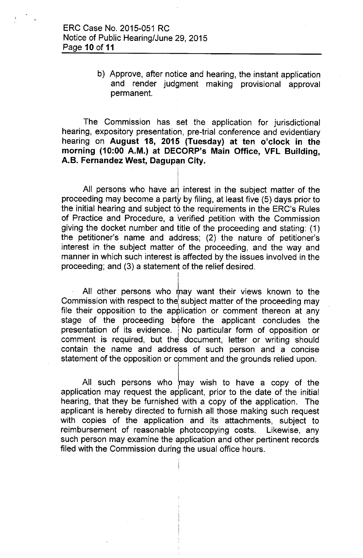b) Approve, after notice and hearing, the instant application and render judgment making provisional approval permanent.

The Commission has set the application for jurisdictional hearing, expository presentation, pre-trial conference and evidentiary hearing on **August 18, 2015 (Tuesday) at ten o'clock in the morning (10:00 A.M.) at DECORP's Main Office, VFL Building, A.B.** Fernandez West, Dagupan City.

All persons who have an interest in the subject matter of the proceeding may become a party by filing, at least five  $(5)$  days prior to the initial hearing and subject to the requirements in the ERC's Rules of Practice and Procedure, a verified petition with the Commission giving the docket number and title of the proceeding and stating: (1) the petitioner's name and address; (2) the nature of petitioner's interest in the subject matter of the proceeding, and the way and manner in which such interest is affected by the issues involved in the proceeding; and (3) a statement of the relief desired.

> I I

All other persons who may want their views known to the Commission with respect to the subject matter of the proceeding may file their opposition to the application or comment thereon at any stage of the proceeding before the applicant concludes the presentation of its evidence. No particular form of opposition or comment is required, but the document, letter or writing should contain the name and address of such person and a concise statement of the opposition or comment and the grounds relied upon.

All such persons who may wish to have a copy of the application may request the applicant, prior to the date of the initial hearing, that they be furnished with a copy of the application. The applicant is hereby directed to furnish all those making such request with copies of the application and its attachments, subject to reimbursement of reasonable photocopying costs. Likewise, any such person may examine the application and other pertinent records filed with the Commission during the usual office hours.